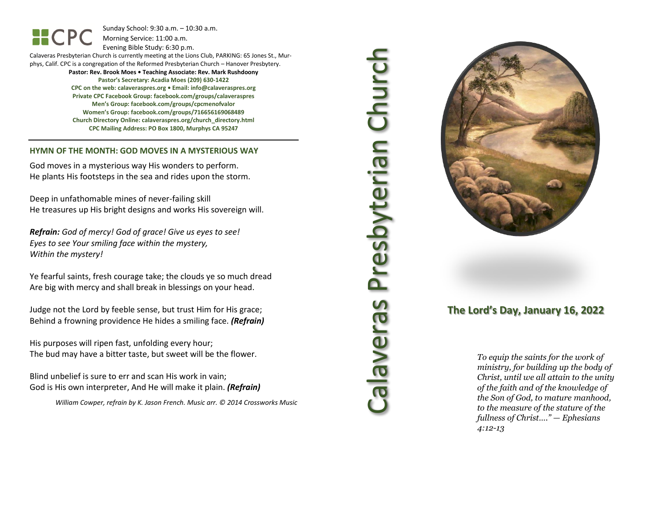Sunday School: 9: 3 0 a.m. – 10:30 a.m. Morning Service: 1 1 :00 a.m.

Evening Bible Study: 6: 30 p.m.

Calaveras Presbyterian Church is currently meeting at the Lions Club, PARKING: 65 Jones St., Murphys, Calif. CPC is a congregation of the Reformed Presbyterian Church – Hanover Presbytery.

> **Pastor: Rev. Brook Moes • Teaching Associate: Rev. Mark Rushdoony Pastor's Secretary: Acadia Moes (209) 630 -1422 CPC on the web: calaveraspres.org • Email: [info@calaveraspres.org](mailto:info@calaveraspres.org) Private CPC Facebook Group: facebook.com/groups/calaveraspres Men's Group: facebook.com/groups/cpcmenofvalor Women's Group: facebook.com/groups/716656169068489 Church Directory Online: calaveraspres.org/church \_directory.html CPC Mailing Address: PO Box 1800, Murphys CA 95247**

#### **HYMN OF THE MONTH: GOD MOVES IN A MYSTERIOUS WAY**

God moves in a mysterious way His wonders to perform. He plants His footsteps in the sea and rides upon the storm.

Deep in unfathomable mines of never -failing skill He treasures up His bright designs and works His sovereign will.

*Refrain: God of mercy! God of grace! Give us eyes to see! Eyes to see Your smiling face within the mystery, Within the mystery!*

Ye fearful saints, fresh courage take; the clouds ye so much dread Are big with mercy and shall break in blessings on your head .

Judge not the Lord by feeble sense, but trust Him for His grace; Behind a frowning providence He hides a smiling face. *(Refrain)*

His purposes will ripen fast, unfolding every hour; The bud may have a bitter taste, but sweet will be the flower.

Blind unbelief is sure to err and scan His work in vain; God is His own interpreter, And He will make it plain. *(Refrain)*

*William Cowper, refrain by K. Jason French . Music arr. © 2014 Crossworks Music* 

Calaveras Presbyterian Church **Presbyterian Churc** seuanele?



### **The Lord's Day, January 16, 202 2**

*To equip the saints for the work of ministry, for building up the body of Christ, until we all attain to the unity of the faith and of the knowledge of the Son of God, to mature manhood, to the measure of the stature of the fullness of Christ…." — Ephesians 4:12 -13*